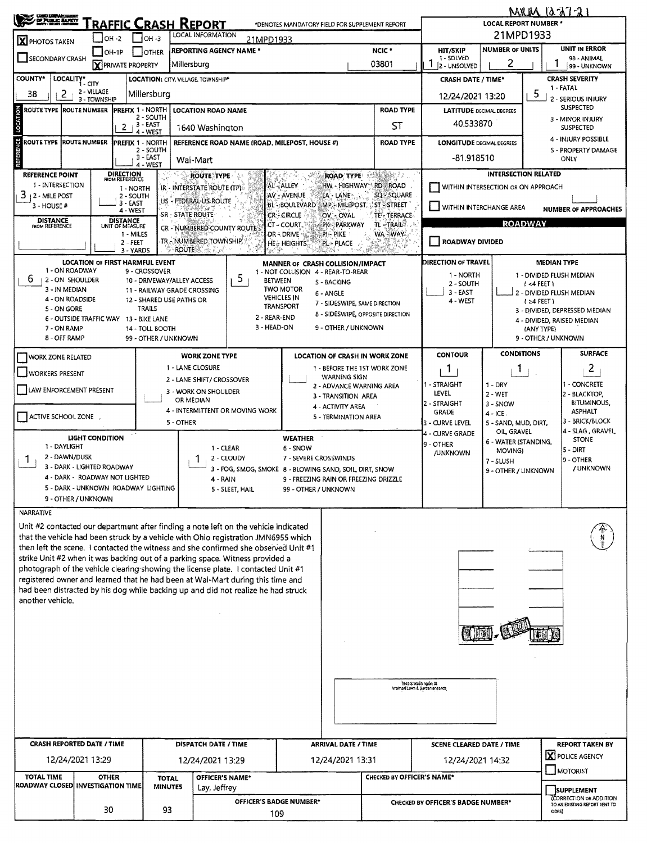| <b>CHIC LEPANDERS</b><br><b>CH PUBLIC BAPRY</b><br><b>RAFFIC CRASH REPORT</b><br>*DENOTES MANDATORY FIELD FOR SUPPLEMENT REPORT |                                                                                                                         |                                    |                                |                             |                                                                                                                                                                           |                                                                                                  | <b>MRIM 1237-21</b><br><b>LOCAL REPORT NUMBER *</b>    |                                                         |                                                                                              |                                     |                                                                |                                        |  |  |
|---------------------------------------------------------------------------------------------------------------------------------|-------------------------------------------------------------------------------------------------------------------------|------------------------------------|--------------------------------|-----------------------------|---------------------------------------------------------------------------------------------------------------------------------------------------------------------------|--------------------------------------------------------------------------------------------------|--------------------------------------------------------|---------------------------------------------------------|----------------------------------------------------------------------------------------------|-------------------------------------|----------------------------------------------------------------|----------------------------------------|--|--|
| <b>X</b> PHOTOS TAKEN                                                                                                           | $IOH -2$                                                                                                                |                                    | $IOH - 3$                      |                             | <b>LOCAL INFORMATION</b><br>21MPD1933                                                                                                                                     |                                                                                                  |                                                        | 21MPD1933                                               |                                                                                              |                                     |                                                                |                                        |  |  |
|                                                                                                                                 | NCIC <sup>*</sup><br><b>REPORTING AGENCY NAME *</b><br>$IOH-1P$<br><b>OTHER</b><br>SECONDARY CRASH                      |                                    |                                |                             |                                                                                                                                                                           |                                                                                                  |                                                        |                                                         | <b>NUMBER OF UNITS</b><br>HIT/SKIP<br>1 - SOLVED                                             | <b>UNIT IN ERROR</b><br>98 - ANIMAL |                                                                |                                        |  |  |
|                                                                                                                                 | <b>X</b> PRIVATE PROPERTY                                                                                               | 03801                              | 2 - UNSOLVED                   | 99 - UNKNOWN                |                                                                                                                                                                           |                                                                                                  |                                                        |                                                         |                                                                                              |                                     |                                                                |                                        |  |  |
| <b>COUNTY*</b><br>LOCALITY* CITY<br>LOCATION: CITY, VILLAGE, TOWNSHIP*<br>2 - VILLAGE<br>2<br>Millersburg<br>38                 |                                                                                                                         |                                    |                                |                             |                                                                                                                                                                           |                                                                                                  |                                                        |                                                         | <b>CRASH DATE / TIME*</b>                                                                    |                                     |                                                                | <b>CRASH SEVERITY</b><br>1 - FATAL     |  |  |
| 3 - TOWNSHIP<br><b>PREFIX 1 - NORTH</b><br><b>ROAD TYPE</b><br><b>ROUTE TYPE  ROUTE NUMBER</b><br><b>LOCATION ROAD NAME</b>     |                                                                                                                         |                                    |                                |                             |                                                                                                                                                                           |                                                                                                  |                                                        |                                                         | 12/24/2021 13:20<br><b>LATITUDE</b> DECIMAL DEGREES                                          |                                     | 5                                                              | 2 - SERIOUS INJURY<br><b>SUSPECTED</b> |  |  |
| LOCATION<br>2 - SOUTH<br>. 3 - EAST<br>1640 Washington                                                                          |                                                                                                                         |                                    |                                |                             |                                                                                                                                                                           |                                                                                                  |                                                        | ST                                                      | 40,533870                                                                                    |                                     |                                                                | 3 - MINOR INJURY<br><b>SUSPECTED</b>   |  |  |
|                                                                                                                                 | 4 - WEST<br><b>ROUTE TYPE  ROUTE NUMBER</b><br><b>PREFIX 1 - NORTH</b><br>REFERENCE ROAD NAME (ROAD, MILEPOST, HOUSE #) |                                    |                                |                             |                                                                                                                                                                           |                                                                                                  |                                                        |                                                         | <b>LONGITUDE DEGMAL DEGREES</b>                                                              |                                     | <b>4 - INJURY POSSIBLE</b>                                     |                                        |  |  |
| <b>REFERENCE</b>                                                                                                                |                                                                                                                         |                                    | 2 - SOUTH<br>3 - EAST          | Wal-Mart                    |                                                                                                                                                                           |                                                                                                  |                                                        | <b>ROAD TYPE</b>                                        | -81.918510                                                                                   |                                     |                                                                | S - PROPERTY DAMAGE<br>ONLY            |  |  |
| 4 - WEST<br><b>DIRECTION</b><br>FROM REFERENCE<br><b>REFERENCE POINT</b><br>SMID-12<br><b>ROUTE TYPE</b><br><b>ROAD TYPE</b>    |                                                                                                                         |                                    |                                |                             |                                                                                                                                                                           |                                                                                                  |                                                        | <b>INTERSECTION RELATED</b>                             |                                                                                              |                                     |                                                                |                                        |  |  |
| 1 - INTERSECTION<br>3<br>12 - MILE POST                                                                                         |                                                                                                                         | 1 - NORTH<br>2 - SOUTH             |                                |                             | IR - INTERSTATE ROUTE (TP)                                                                                                                                                | AL-ALLEY<br>AV - AVENUE                                                                          | LA - LANE -                                            | HW - HIGHWAY RD - ROAD<br>SQ - SQUARE                   | WITHIN INTERSECTION OR ON APPROACH<br>WITHIN INTERCHANGE AREA<br><b>NUMBER OF APPROACHES</b> |                                     |                                                                |                                        |  |  |
| 3 - HOUSE #                                                                                                                     |                                                                                                                         | 3 - EAST<br>4 - WEST               |                                |                             | US - FEDERAL US ROUTE                                                                                                                                                     | BL-BOULEVARD                                                                                     |                                                        | MP - MILEPOST ST - STREET                               |                                                                                              |                                     |                                                                |                                        |  |  |
| <b>DISTANCE</b><br>FROM REFERENCE                                                                                               |                                                                                                                         | <b>DISTANCE</b><br>UNIT OF MEASURE |                                | SR - STATE ROUTE            | CR - NUMBERED COUNTY ROUTE                                                                                                                                                | <b>CR-CIRCLE</b><br>.CT - COURT,                                                                 | OV. OVAL<br><b>PK-PARKWAY</b>                          | <b>TE-TERRACE</b><br>TL-TRAIL®                          |                                                                                              |                                     | <b>ROADWAY</b>                                                 |                                        |  |  |
|                                                                                                                                 |                                                                                                                         | 1 - MILES<br>2 - FEET              |                                |                             | TR - NUMBERED TOWNSHIP                                                                                                                                                    | DR - DRIVE<br><b>HE. HEIGHTS</b>                                                                 | pi - Pike<br>PL - PLACE                                | WA WAY.                                                 | <b>ROADWAY DIVIDED</b>                                                                       |                                     |                                                                |                                        |  |  |
|                                                                                                                                 | LOCATION OF FIRST HARMFUL EVENT                                                                                         | 3 - YARDS                          |                                | <b>ROUTE</b>                |                                                                                                                                                                           |                                                                                                  | MANNER OF CRASH COLLISION/IMPACT                       |                                                         | DIRECTION OF TRAVEL<br><b>MEDIAN TYPE</b>                                                    |                                     |                                                                |                                        |  |  |
| 1 - ON ROADWAY<br>6<br>2 - ON SHOULDER                                                                                          |                                                                                                                         |                                    | 9 - CROSSOVER                  | 10 - DRIVEWAY/ALLEY ACCESS  | 5.<br><b>BETWEEN</b>                                                                                                                                                      |                                                                                                  | 1 - NOT COLLISION 4 - REAR-TO-REAR<br><b>S-BACKING</b> |                                                         | 1 - NORTH                                                                                    |                                     | 1 - DIVIDED FLUSH MEDIAN                                       |                                        |  |  |
| 3 - IN MEDIAN<br>4 - ON ROADSIDE                                                                                                |                                                                                                                         |                                    |                                | 11 - RAILWAY GRADE CROSSING |                                                                                                                                                                           | <b>TWO MOTOR</b><br><b>VEHICLES IN</b>                                                           | 6 - ANGLE                                              |                                                         | 2 - SOUTH<br>3 - EAST                                                                        |                                     | (4FET)<br>2 - DIVIDED FLUSH MEDIAN                             |                                        |  |  |
| 5 - ON GORE                                                                                                                     |                                                                                                                         |                                    | <b>TRAILS</b>                  | 12 - SHARED USE PATHS OR    |                                                                                                                                                                           | TRANSPORT                                                                                        | 7 - SIDESWIPE, SAME DIRECTION                          | 8 - SIDESWIPE, OPPOSITE DIRECTION                       | 4 - WEST                                                                                     |                                     | $(24$ FEET)                                                    | 3 - DIVIDED, DEPRESSED MEDIAN          |  |  |
| 7 - ON RAMP                                                                                                                     | 6 - OUTSIDE TRAFFIC WAY 13 - BIKE LANE                                                                                  |                                    | 14 - TOLL BOOTH                |                             | 2 - REAR-END<br>3 - HEAD-ON                                                                                                                                               |                                                                                                  | 9 - OTHER / UNKNOWN                                    |                                                         |                                                                                              |                                     | (ANY TYPE)                                                     | 4 - DIVIDED, RAISED MEDIAN             |  |  |
| 8 - OFF RAMP                                                                                                                    |                                                                                                                         |                                    |                                | 99 - OTHER / UNKNOWN        |                                                                                                                                                                           |                                                                                                  |                                                        |                                                         |                                                                                              |                                     | 9 - OTHER / UNKNOWN                                            |                                        |  |  |
| <b>WORK ZONE RELATED</b>                                                                                                        |                                                                                                                         |                                    |                                | 1 - LANE CLOSURE            | <b>WORK ZONE TYPE</b>                                                                                                                                                     |                                                                                                  |                                                        | LOCATION OF CRASH IN WORK ZONE                          | <b>CONTOUR</b>                                                                               | <b>CONDITIONS</b>                   |                                                                | <b>SURFACE</b>                         |  |  |
| WORKERS PRESENT                                                                                                                 |                                                                                                                         |                                    |                                |                             | 2 - LANE SHIFT/ CROSSOVER                                                                                                                                                 |                                                                                                  | <b>WARNING SIGN</b>                                    | 1 - BEFORE THE 1ST WORK ZONE                            | 1<br>- STRAIGHT                                                                              | 1.                                  |                                                                | $\mathbf{2}$<br>- CONCRETE             |  |  |
| LAW ENFORCEMENT PRESENT                                                                                                         |                                                                                                                         |                                    |                                | OR MEDIAN                   | 3 - WORK ON SHOULDER                                                                                                                                                      |                                                                                                  | 2 - ADVANCE WARNING AREA<br>3 - TRANSITION AREA        |                                                         | LEVEL                                                                                        | $1 - DRY$<br>2 - WET                |                                                                | 2 - BLACKTOP,                          |  |  |
| ACTIVE SCHOOL ZONE                                                                                                              |                                                                                                                         |                                    |                                |                             | 4 - INTERMITTENT OR MOVING WORK                                                                                                                                           |                                                                                                  | 4 - ACTIVITY AREA<br>5 - TERMINATION AREA              |                                                         | 2 - STRAIGHT<br><b>GRADE</b>                                                                 | 3 - SNOW<br>$4 - ICE$               |                                                                | <b>BITUMINOUS,</b><br><b>ASPHALT</b>   |  |  |
|                                                                                                                                 |                                                                                                                         |                                    |                                | 5 - OTHER                   |                                                                                                                                                                           |                                                                                                  |                                                        |                                                         | 3 - CURVE LEVEL<br>4 - CURVE GRADE                                                           | 5 - SAND, MUD, DIRT,<br>OIL GRAVEL  |                                                                | 3 - BRICK/BLOCK<br>4 - SLAG , GRAVEL,  |  |  |
| 1 - DAYLIGHT                                                                                                                    | <b>LIGHT CONDITION</b>                                                                                                  |                                    |                                |                             | 1 - CLEAR                                                                                                                                                                 | <b>WEATHER</b><br>6 - SNOW                                                                       |                                                        |                                                         | 9 - OTHER                                                                                    | 6 - WATER (STANDING,<br>MOVING)     |                                                                | <b>STONE</b><br>$5 - DIRT$             |  |  |
| 2 - DAWN/DUSK<br>Ŧ                                                                                                              | 3 - DARK - LIGHTED ROADWAY                                                                                              |                                    |                                |                             | 2 - CLOUDY                                                                                                                                                                | 7 - SEVERE CROSSWINDS                                                                            |                                                        |                                                         | <b>/UNKNOWN</b><br>7 - SLUSH                                                                 |                                     |                                                                | 9 - OTHER                              |  |  |
|                                                                                                                                 | 4 - DARK - ROADWAY NOT LIGHTED                                                                                          |                                    |                                |                             | 4 - RAIN                                                                                                                                                                  | 3 - FOG, SMOG, SMOKE 8 - BLOWING SAND, SOIL, DIRT, SNOW<br>9 - FREEZING RAIN OR FREEZING DRIZZLE |                                                        |                                                         |                                                                                              |                                     | 9 - OTHER / UNKNOWN                                            | / UNKNOWN                              |  |  |
|                                                                                                                                 | 5 - DARK - UNKNOWN ROADWAY LIGHTING<br>9 - OTHER / UNKNOWN                                                              |                                    |                                |                             | 5 - SLEET, HAIL                                                                                                                                                           | 99 - OTHER / UNKNOWN                                                                             |                                                        |                                                         |                                                                                              |                                     |                                                                |                                        |  |  |
| NARRATIVE                                                                                                                       |                                                                                                                         |                                    |                                |                             |                                                                                                                                                                           |                                                                                                  |                                                        |                                                         |                                                                                              |                                     |                                                                |                                        |  |  |
|                                                                                                                                 |                                                                                                                         |                                    |                                |                             | Unit #2 contacted our department after finding a note left on the vehicle indicated                                                                                       |                                                                                                  |                                                        |                                                         |                                                                                              |                                     |                                                                |                                        |  |  |
|                                                                                                                                 |                                                                                                                         |                                    |                                |                             | that the vehicle had been struck by a vehicle with Ohio registration JMN6955 which<br>then left the scene. I contacted the witness and she confirmed she observed Unit #1 |                                                                                                  |                                                        |                                                         |                                                                                              |                                     |                                                                |                                        |  |  |
|                                                                                                                                 |                                                                                                                         |                                    |                                |                             | strike Unit #2 when it was backing out of a parking space. Witness provided a<br>photograph of the vehicle clearing showing the license plate. I contacted Unit #1        |                                                                                                  |                                                        |                                                         |                                                                                              |                                     |                                                                |                                        |  |  |
|                                                                                                                                 |                                                                                                                         |                                    |                                |                             | registered owner and learned that he had been at Wal-Mart during this time and                                                                                            |                                                                                                  |                                                        |                                                         |                                                                                              |                                     |                                                                |                                        |  |  |
| another vehicle.                                                                                                                |                                                                                                                         |                                    |                                |                             | had been distracted by his dog while backing up and did not realize he had struck                                                                                         |                                                                                                  |                                                        |                                                         |                                                                                              |                                     |                                                                |                                        |  |  |
|                                                                                                                                 |                                                                                                                         |                                    |                                |                             |                                                                                                                                                                           |                                                                                                  |                                                        |                                                         |                                                                                              |                                     |                                                                |                                        |  |  |
|                                                                                                                                 |                                                                                                                         |                                    |                                |                             |                                                                                                                                                                           |                                                                                                  |                                                        |                                                         |                                                                                              |                                     |                                                                |                                        |  |  |
|                                                                                                                                 |                                                                                                                         |                                    |                                |                             |                                                                                                                                                                           |                                                                                                  |                                                        |                                                         |                                                                                              |                                     |                                                                |                                        |  |  |
|                                                                                                                                 |                                                                                                                         |                                    |                                |                             |                                                                                                                                                                           |                                                                                                  |                                                        |                                                         |                                                                                              |                                     |                                                                |                                        |  |  |
|                                                                                                                                 |                                                                                                                         |                                    |                                |                             |                                                                                                                                                                           |                                                                                                  |                                                        | t 640 S Washington St.<br>Walmari Lawn & Garden engance |                                                                                              |                                     |                                                                |                                        |  |  |
|                                                                                                                                 |                                                                                                                         |                                    |                                |                             |                                                                                                                                                                           |                                                                                                  |                                                        |                                                         |                                                                                              |                                     |                                                                |                                        |  |  |
|                                                                                                                                 |                                                                                                                         |                                    |                                |                             |                                                                                                                                                                           |                                                                                                  |                                                        |                                                         |                                                                                              |                                     |                                                                |                                        |  |  |
|                                                                                                                                 |                                                                                                                         |                                    |                                |                             |                                                                                                                                                                           |                                                                                                  |                                                        |                                                         |                                                                                              |                                     |                                                                |                                        |  |  |
| <b>CRASH REPORTED DATE / TIME</b>                                                                                               |                                                                                                                         |                                    |                                |                             | <b>DISPATCH DATE / TIME</b><br><b>ARRIVAL DATE / TIME</b>                                                                                                                 |                                                                                                  |                                                        |                                                         | SCENE CLEARED DATE / TIME                                                                    |                                     | <b>REPORT TAKEN BY</b><br><b>X</b> POLICE AGENCY               |                                        |  |  |
|                                                                                                                                 | 12/24/2021 13:29                                                                                                        |                                    |                                |                             | 12/24/2021 13:29                                                                                                                                                          |                                                                                                  | 12/24/2021 13:31                                       |                                                         | 12/24/2021 14:32                                                                             |                                     |                                                                | MOTORIST                               |  |  |
| <b>TOTAL TIME</b><br>ROADWAY CLOSED INVESTIGATION TIME                                                                          | <b>OTHER</b>                                                                                                            |                                    | <b>TOTAL</b><br><b>MINUTES</b> |                             | OFFICER'S NAME*<br>Lay, Jeffrey                                                                                                                                           |                                                                                                  |                                                        |                                                         | CHECKED BY OFFICER'S NAME*                                                                   |                                     |                                                                | <b>SUPPLEMENT</b>                      |  |  |
|                                                                                                                                 |                                                                                                                         |                                    |                                |                             | OFFICER'S BADGE NUMBER*                                                                                                                                                   |                                                                                                  |                                                        | CHECKED BY OFFICER'S BADGE NUMBER*                      |                                                                                              |                                     | <b>CORRECTION OR ADDITION</b><br>TO AN EXISTING REPORT SENT TO |                                        |  |  |
| 30<br>93<br>109                                                                                                                 |                                                                                                                         |                                    |                                |                             |                                                                                                                                                                           |                                                                                                  | ODPS)                                                  |                                                         |                                                                                              |                                     |                                                                |                                        |  |  |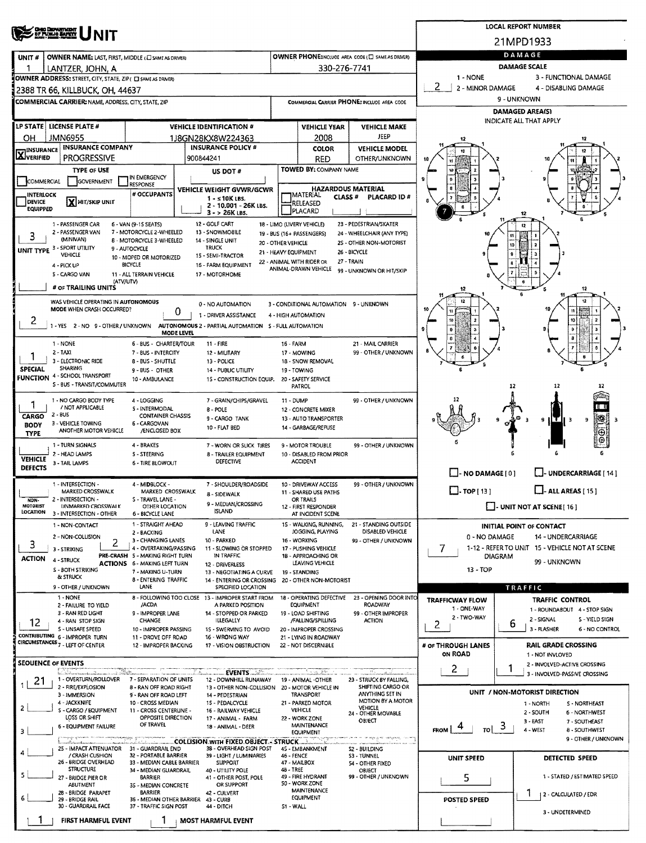|                                                                      |                                                                                          |                                                           |            |                                                                         |                                             |                                                   | <b>LOCAL REPORT NUMBER</b>                            |                                               |                                                   |                                                      |  |  |  |  |  |
|----------------------------------------------------------------------|------------------------------------------------------------------------------------------|-----------------------------------------------------------|------------|-------------------------------------------------------------------------|---------------------------------------------|---------------------------------------------------|-------------------------------------------------------|-----------------------------------------------|---------------------------------------------------|------------------------------------------------------|--|--|--|--|--|
| <b>OHO DEPARTMENT</b><br>DE PUBLIQ BARRIT<br><b>NIT</b>              |                                                                                          |                                                           |            |                                                                         |                                             |                                                   |                                                       | 21MPD1933                                     |                                                   |                                                      |  |  |  |  |  |
| UNIT#<br>OWNER NAME: LAST, FIRST, MIDDLE (E) SAME AS DRIVER)         |                                                                                          |                                                           |            |                                                                         |                                             |                                                   | OWNER PHONE:INCLUDE AREA CODE (E) SAME AS DRIVER)     | DAMAGE                                        |                                                   |                                                      |  |  |  |  |  |
|                                                                      | LANTZER, JOHN, A                                                                         |                                                           |            |                                                                         |                                             | 330-276-7741                                      |                                                       | <b>DAMAGE SCALE</b>                           |                                                   |                                                      |  |  |  |  |  |
|                                                                      | OWNER ADDRESS: STREET, CITY, STATE, ZIP( E) SAME AS DRIVER)                              |                                                           |            |                                                                         |                                             |                                                   | 1 - NONE                                              |                                               | 3 - FUNCTIONAL DAMAGE                             |                                                      |  |  |  |  |  |
|                                                                      | 2388 TR 66, KILLBUCK, OH, 44637                                                          |                                                           |            |                                                                         |                                             |                                                   |                                                       | 2<br>2 - MINOR DAMAGE<br>4 - DISABLING DAMAGE |                                                   |                                                      |  |  |  |  |  |
|                                                                      | <b>COMMERCIAL CARRIER: NAME, ADDRESS, CITY, STATE, ZIP</b>                               |                                                           |            |                                                                         | COMMERCIAL CARRIER PHONE: INCLUDE AREA CODE |                                                   |                                                       | 9 - UNKNOWN                                   |                                                   |                                                      |  |  |  |  |  |
|                                                                      |                                                                                          |                                                           |            |                                                                         |                                             |                                                   |                                                       |                                               | <b>DAMAGED AREA(S)</b><br>INDICATE ALL THAT APPLY |                                                      |  |  |  |  |  |
| LP STATE   LICENSE PLATE #<br><b>VEHICLE IDENTIFICATION #</b>        |                                                                                          |                                                           |            |                                                                         |                                             | <b>VEHICLE YEAR</b>                               | <b>VEHICLE MAKE</b>                                   |                                               |                                                   |                                                      |  |  |  |  |  |
| <b>JMN6955</b><br>OH<br><b>INSURANCE COMPANY</b><br><b>INSURANCE</b> |                                                                                          |                                                           |            | 1J8GN28KX8W224363<br><b>INSURANCE POLICY #</b>                          |                                             | 2008<br><b>COLOR</b>                              | JEEP<br><b>VEHICLE MODEL</b>                          | 12                                            |                                                   |                                                      |  |  |  |  |  |
| LAJVERIFIED<br><b>PROGRESSIVE</b>                                    |                                                                                          |                                                           |            | 900844241                                                               |                                             | <b>RED</b>                                        | <b>OTHER/UNKNOWN</b>                                  | 10                                            |                                                   |                                                      |  |  |  |  |  |
|                                                                      | <b>TYPE OF USE</b>                                                                       |                                                           |            | US DOT #                                                                |                                             | TOWED BY: COMPANY NAME                            |                                                       |                                               |                                                   |                                                      |  |  |  |  |  |
| IN EMERGENCY<br>COMMERCIAL<br>GOVERNMENT<br>RESPONSE                 |                                                                                          |                                                           |            |                                                                         | <b>HAZARDOUS MATERIAL</b>                   |                                                   |                                                       |                                               |                                                   |                                                      |  |  |  |  |  |
| <b>INTERLOCK</b><br><b>DEVICE</b>                                    | X HIT/SKIP UNIT                                                                          | # OCCUPANTS                                               |            | VEHICLE WEIGHT GVWR/GCWR<br>1 - ≤10K LBS.                               |                                             | <b>MATERIAL</b><br>CLASS <sup>#</sup>             |                                                       |                                               |                                                   |                                                      |  |  |  |  |  |
| <b>EQUIPPED</b>                                                      |                                                                                          |                                                           |            | 2 - 10.001 - 26K LBS.<br>$3 - 26K$ LBS.                                 |                                             | RELEASED<br>PLACARD                               |                                                       |                                               | 12                                                |                                                      |  |  |  |  |  |
|                                                                      | 1 - PASSENGER CAR                                                                        | 6 - VAN (9-15 SEATS)                                      |            | 12 - GOLF CART                                                          |                                             | 18 - LIMO (LIVERY VEHICLE)                        | 23 - PEDESTRIAN/SKATER                                |                                               |                                                   | 12                                                   |  |  |  |  |  |
| 3                                                                    | 2 - PASSENGER VAN<br>(MINIVAN)                                                           | 7 - MOTORCYCLE 2-WHEELED<br>8 - MOTORCYCLE 3-WHEELED      |            | 13 - SNOWMO8ILE<br>14 - SINGLE UNIT                                     | 20 - OTHER VEHICLE                          | 19 - BUS (16+ PASSENGERS)                         | 24 - WHEELCHAIR (ANY TYPE)<br>2S - OTHER NON-MOTORIST |                                               | 11                                                |                                                      |  |  |  |  |  |
|                                                                      | UNIT TYPE 3 - SPORT UTILITY<br>VEHICLE                                                   | 9 - AUTOCYCLE                                             |            | TRUCK<br>15 - SEMI-TRACTOR                                              | 21 - HEAVY EQUIPMENT                        |                                                   | 26 - BICYCLE                                          |                                               | 10<br>9                                           |                                                      |  |  |  |  |  |
|                                                                      | 4 - PICK UP                                                                              | 10 - MOPED OR MOTORIZED<br>BICYCLE                        |            | 16 - FARM EQUIPMENT                                                     |                                             | 22 - ANIMAL WITH RIDER OR<br>ANIMAL-DRAWN VEHICLE | 27 - TRAIN                                            |                                               |                                                   |                                                      |  |  |  |  |  |
|                                                                      | 5 - CARGO VAN<br>(ATV/UTV)                                                               | 11 - ALL TERRAIN VEHICLE                                  |            | 17 - MOTORHOME                                                          |                                             |                                                   | 99 - UNKNOWN OR HIT/SKIP                              |                                               |                                                   |                                                      |  |  |  |  |  |
|                                                                      | # OF TRAILING UNITS                                                                      |                                                           |            |                                                                         |                                             |                                                   |                                                       | 12                                            |                                                   | 12                                                   |  |  |  |  |  |
|                                                                      | WAS VEHICLE OPERATING IN AUTONOMOUS                                                      |                                                           |            | 0 - NO AUTOMATION                                                       |                                             | 3 - CONDITIONAL AUTOMATION 9 - UNKNOWN            |                                                       |                                               |                                                   | 12                                                   |  |  |  |  |  |
| 2                                                                    | MODE WHEN CRASH OCCURRED?                                                                |                                                           | o          | 1 - DRIVER ASSISTANCE                                                   |                                             | 4 - HIGH AUTOMATION                               |                                                       |                                               |                                                   | 10                                                   |  |  |  |  |  |
|                                                                      | 1 - YES 2 - NO 9 - OTHER / UNKNOWN AUTONOMOUS 2 - PARTIAL AUTOMATION 5 - FULL AUTOMATION |                                                           | MODE LEVEL |                                                                         |                                             |                                                   |                                                       |                                               |                                                   |                                                      |  |  |  |  |  |
|                                                                      | 1 - NONE                                                                                 | 6 - BUS - CHARTER/TOUR                                    |            | $11 - FIRE$                                                             | 16 - FARM                                   |                                                   | 21 - MAIL CARRIER                                     |                                               |                                                   |                                                      |  |  |  |  |  |
|                                                                      | 2 - TAXI                                                                                 | 7 - BUS - INTERCITY                                       |            | 12 - MILITARY                                                           |                                             | 17 - MOWING                                       | 99 - OTHER / UNKNOWN                                  |                                               |                                                   | 6                                                    |  |  |  |  |  |
| <b>SPECIAL</b>                                                       | 3 - ELECTRONIC RIDE<br>SHARING                                                           | <b>B-BUS-SHUTTLE</b><br>9 - BUS - OTHER                   |            | 13 - POLICE<br>14 - PUBLIC UTILITY                                      |                                             | 18 - SNOW REMOVAL<br>19 - TOWING                  |                                                       |                                               |                                                   |                                                      |  |  |  |  |  |
|                                                                      | <b>FUNCTION 4 - SCHOOL TRANSPORT</b><br>S - BUS - TRANSIT/COMMUTER                       | 10 - AMBULANCE                                            |            | 15 - CONSTRUCTION EQUIP.                                                |                                             | 20 - SAFETY SERVICE<br>PATROL                     |                                                       |                                               | 12                                                | 12<br>12                                             |  |  |  |  |  |
|                                                                      |                                                                                          |                                                           |            |                                                                         |                                             |                                                   |                                                       |                                               |                                                   |                                                      |  |  |  |  |  |
| 1                                                                    | 1 - NO CARGO BODY TYPE<br>/ NOT APPLICABLE                                               | 4 - LOGGING<br>5 - INTERMODAL                             |            | 7 - GRAIN/CHIPS/GRAVEL<br>B - POLE                                      | 11 - DUMP                                   | 12 - CONCRETE MIXER                               | 99 - OTHER / UNKNOWN                                  |                                               |                                                   | गा                                                   |  |  |  |  |  |
| <b>CARGO</b><br><b>BODY</b>                                          | $2 - BUS$<br>3 - VEHICLE TOWING                                                          | <b>CONTAINER CHASSIS</b><br>6 - CARGOVAN                  |            | 9 - CARGO TANK                                                          |                                             | 13 - AUTO TRANSPORTER                             |                                                       |                                               |                                                   | $\frac{1}{2}$<br>9<br>9<br>в                         |  |  |  |  |  |
| <b>TYPE</b>                                                          | ANOTHER MOTOR VEHICLE                                                                    | /ENCLOSED BOX                                             |            | 10 - FLAT BED                                                           |                                             | 14 - GARBAGE/REFUSE                               |                                                       |                                               |                                                   | Θ                                                    |  |  |  |  |  |
|                                                                      | 1 - TURN SIGNALS                                                                         | 4 - BRAKES                                                |            | 7 - WORN OR SLICK TIRES                                                 |                                             | 9 - MOTOR TROUBLE                                 | 99 - OTHER / UNKNOWN                                  |                                               |                                                   |                                                      |  |  |  |  |  |
| <b>VEHICLE</b>                                                       | 2 - HEAD LAMPS<br>3 - TAIL LAMPS                                                         | 5 - STEERING<br><b>6 - TIRE BLOWOUT</b>                   |            | 8 - TRAILER EQUIPMENT<br>DEFECTIVE                                      |                                             | 10 - DISABLED FROM PRIOR<br><b>ACCIDENT</b>       |                                                       |                                               |                                                   |                                                      |  |  |  |  |  |
| <b>DEFECTS</b>                                                       |                                                                                          |                                                           |            |                                                                         |                                             |                                                   |                                                       | $\Box$ - NO DAMAGE [ 0 ]                      |                                                   | L.J. UNDERCARRIAGE [ 14 ]                            |  |  |  |  |  |
|                                                                      | 1 - INTERSECTION -<br>MARKED CROSSWALK                                                   | 4 - MIDBLOCK -<br>MARKED CROSSWALK                        |            | 7 - SHOULDER/ROADSIDE                                                   |                                             | 10 - DRIVEWAY ACCESS<br>11 - SHARED USE PATHS     | 99 - OTHER / UNKNOWN                                  | $\Box$ - TOP [ 13 ]                           |                                                   | $\Box$ - ALL AREAS [ 15 ]                            |  |  |  |  |  |
| NON-<br>MOTORIST                                                     | 2 - INTERSECTION -<br><b>UNMARKED CROSSWALK</b>                                          | S - TRAVEL LANE -<br>OTHER LOCATION                       |            | 8 - SIDEWALK<br>9 - MEDIAN/CROSSING                                     |                                             | OR TRAILS<br>12 - FIRST RESPONDER                 |                                                       |                                               |                                                   | $\Box$ - UNIT NOT AT SCENE [ 16 ]                    |  |  |  |  |  |
| LOCATION                                                             | 3 - INTERSECTION - OTHER                                                                 | 6 - BICYCLE LANE                                          |            | <b>ISLAND</b>                                                           |                                             | AT INCIDENT SCENE                                 |                                                       |                                               |                                                   |                                                      |  |  |  |  |  |
|                                                                      | 1 - NON-CONTACT                                                                          | 1 - STRAIGHT AHEAD<br>2 - BACKING                         |            | 9 - LEAVING TRAFFIC<br>LANE                                             |                                             | 15 - WALKING, RUNNING,<br>JOGGING, PLAYING        | 21 - STANDING OUTSIDE<br>DISABLED VEHICLE             |                                               |                                                   | <b>INITIAL POINT OF CONTACT</b>                      |  |  |  |  |  |
| з                                                                    | 2 - NON-COLLISION<br>2                                                                   | 3 - CHANGING LANES                                        |            | 10 - PARKED                                                             |                                             | 16 - WORKING                                      | 99 - OTHER / UNKNOWN                                  | 0 - NO DAMAGE                                 |                                                   | 14 - UNDERCARRIAGE                                   |  |  |  |  |  |
| <b>ACTION</b>                                                        | 3 - STRIKING<br>4 - STRUCK                                                               | 4 - OVERTAKING/PASSING<br>PRE-CRASH 5 - MAKING RIGHT TURN |            | 11 - SLOWING OR STOPPED<br>IN TRAFFIC                                   |                                             | 17 - PUSHING VEHICLE<br>1B - APPROACHING OR       |                                                       | 7                                             | <b>DIAGRAM</b>                                    | 1-12 - REFER TO UNIT 15 - VEHICLE NOT AT SCENE       |  |  |  |  |  |
|                                                                      | <b>S - BOTH STRIKING</b>                                                                 | <b>ACTIONS 6 - MAKING LEFT TURN</b><br>7 - MAKING U-TURN  |            | 12 - DRIVERLESS<br>13 - NEGOTIATING A CURVE                             |                                             | LEAVING VEHICLE<br>19 - STANDING                  |                                                       | 13 - TOP                                      |                                                   | 99 - UNKNOWN                                         |  |  |  |  |  |
|                                                                      | & STRUCK                                                                                 | 8 - ENTERING TRAFFIC                                      |            | 14 - ENTERING OR CROSSING                                               |                                             | 20 - OTHER NON-MOTORIST                           |                                                       |                                               |                                                   |                                                      |  |  |  |  |  |
|                                                                      | 9 - OTHER / UNKNOWN<br>1 NONE                                                            | LANE                                                      |            | SPECIFIED LOCATION<br>8 - FOLLOWING TOO CLOSE 13 - IMPROPER START FROM  |                                             | 18 - OPERATING DEFECTIVE                          | 23 - OPENING DOOR INTO                                | <b>TRAFFICWAY FLOW</b>                        |                                                   | TRAFFIC<br><b>TRAFFIC CONTROL</b>                    |  |  |  |  |  |
|                                                                      | 2 - FAILURE TO YIELD<br>3 - RAN RED LIGHT                                                | /ACDA<br>9 - IMPROPER LANE                                |            | A PARKED POSITION<br>14 - STOPPED OR PARKED                             |                                             | EQUIPMENT                                         | <b>ROADWAY</b><br>99 - OTHER IMPROPER                 | 1 - ONE-WAY                                   |                                                   | 1 - ROUNDABOUT 4 - STOP SIGN                         |  |  |  |  |  |
| 12                                                                   | 4 - RAN STOP SIGN                                                                        | <b>CHANGE</b>                                             |            | ILLEGALLY                                                               |                                             | 19 - LOAD SHIFTING<br>/FALLING/SPILLING           | <b>ACTION</b>                                         | 2 - TWO-WAY<br>2                              | 6                                                 | 2 - SIGNAL<br>S - YIELD SIGN                         |  |  |  |  |  |
|                                                                      | S - UNSAFE SPEED<br>CONTRIBUTING 6 - IMPROPER TURN                                       | 10 - IMPROPER PASSING<br>11 - DROVE OFF ROAD              |            | 15 - SWERVING TO AVOID<br>16 - WRONG WAY                                |                                             | 20 - IMPROPER CROSSING<br>21 - LYING IN ROADWAY   |                                                       |                                               |                                                   | 3 - FLASHER<br>6 - NO CONTROL                        |  |  |  |  |  |
|                                                                      | CIRCUMSTANCES <sub>7</sub> - LEFT OF CENTER                                              | 12 - IMPROPER BACKING                                     |            | 17 - VISION OBSTRUCTION                                                 |                                             | 22 - NOT DISCERNIBLE                              |                                                       | # OF THROUGH LANES                            |                                                   | <b>RAIL GRADE CROSSING</b>                           |  |  |  |  |  |
|                                                                      | <b>SEOUENCE OF EVENTS</b>                                                                |                                                           |            |                                                                         |                                             |                                                   |                                                       | ON ROAD                                       |                                                   | 1 - NOT INVLOVED<br>2 - INVOLVED-ACTIVE CROSSING     |  |  |  |  |  |
|                                                                      | kama masa ka salah satu satu tersebut d<br>1 - OVERTURN/ROLLOVER 7 - SEPARATION OF UNITS |                                                           |            | <b>EVENTS</b>                                                           |                                             |                                                   |                                                       | 2                                             | 1                                                 | 3 - INVOLVED-PASSIVE CROSSING                        |  |  |  |  |  |
| 21                                                                   | 2 - FIRE/EXPLOSION                                                                       | 8 - RAN OFF ROAD RIGHT                                    |            | 12 - DOWNHILL RUNAWAY<br>13 - OTHER NON-COLLISION 20 - MOTOR VEHICLE IN |                                             | 19 - ANIMAL -OTHER                                | 23 - STRUCK BY FALLING,<br>SHIFTING CARGO OR          |                                               |                                                   | UNIT / NON-MOTORIST DIRECTION                        |  |  |  |  |  |
|                                                                      | 3 - IMMERSION<br>4 - JACKKNIFE                                                           | 9 - RAN OFF ROAD LEFT<br>10 - CROSS MEDIAN                |            | 14 - PEDESTRIAN<br>15 - PEDALCYCLE                                      |                                             | <b>TRANSPORT</b><br>21 - PARKED MOTOR             | ANYTHING SET IN<br>MOTION BY A MOTOR                  |                                               |                                                   | 1 - NORTH<br>S - NORTHEAST                           |  |  |  |  |  |
| 2                                                                    | S - CARGO / EQUIPMENT<br>LOSS OR SHIFT                                                   | 11 - CROSS CENTERLINE -<br>OPPOSITE DIRECTION             |            | 16 - RAILWAY VEHICLE                                                    |                                             | <b>VEHICLE</b><br>22 - WORK ZONE                  | <b>VEHICLE</b><br>24 - OTHER MOVABLE                  |                                               |                                                   | 2 - SOUTH<br>6 - NORTHWEST                           |  |  |  |  |  |
| з                                                                    | 6 - EQUIPMENT FAILURE                                                                    | OF TRAVEL                                                 |            | 17 - ANIMAL - FARM<br>18 - ANIMAL - DEER                                |                                             | <b>MAINTENANCE</b>                                | OBJECT                                                | FROM  <br>TO                                  | 3                                                 | 3-EAST<br>7 - SOUTHEAST<br>4 - WEST<br>8 - SOUTHWEST |  |  |  |  |  |
|                                                                      |                                                                                          |                                                           |            |                                                                         |                                             | EQUIPMENT                                         | a en campoura, com                                    |                                               |                                                   | 9 - OTHER / UNKNOWN                                  |  |  |  |  |  |
|                                                                      | 25 - IMPACT ATTENUATOR<br>/ CRASH CUSHION                                                | 31 - GUARDRAIL END<br>32 - PORTABLE BARRIER               |            | 38 - OVERHEAD SIGN POST<br>39 - LIGHT / LUMINARIES                      | 46 - FENCE                                  | 45 - EMBANKMENT                                   | 52 - BUILDING<br>S3 - TUNNEL                          |                                               |                                                   |                                                      |  |  |  |  |  |
|                                                                      | 26 - BRIDGE OVERHEAD<br><b>STRUCTURE</b>                                                 | 33 - MEDIAN CABLE BARRIER<br>34 - MEDIAN GUARDRAIL        |            | <b>SUPPORT</b><br>40 - UTILITY POLE                                     | 48 - TREE                                   | 47 - MAILBOX                                      | 54 - OTHER FIXED<br>OBJECT                            | UNIT SPEED                                    |                                                   | DETECTED SPEED                                       |  |  |  |  |  |
| 5                                                                    | 27 - BRIDGE PIER OR                                                                      | <b>BARRIER</b>                                            |            | 41 - OTHER POST, POLE                                                   |                                             | 49 - FIRE HYDRANT<br>50 - WORK ZONE               | 99 - OTHER / UNKNOWN                                  | 5                                             |                                                   | 1 - STATED / ESTIMATED SPEED                         |  |  |  |  |  |
|                                                                      | <b>ABUTMENT</b><br>28 - BRIDGE PARAPET                                                   | 35 - MEDIAN CONCRETE<br><b>BARRIER</b>                    |            | OR SUPPORT<br>42 - CULVERT                                              |                                             | MAINTENANCE                                       |                                                       |                                               |                                                   | 1<br>12 - CALCULATED / EDR                           |  |  |  |  |  |
| 6                                                                    | 29 - BRIDGE RAIL<br>30 - GUARDRAIL FACE                                                  | 36 - MEDIAN OTHER BARRIER<br>37 - TRAFFIC SIGN POST       |            | 43 - CURB<br>44 - DITCH                                                 | 51 - WALL                                   | EQUIPMENT                                         |                                                       | <b>POSTED SPEED</b>                           |                                                   |                                                      |  |  |  |  |  |
|                                                                      | FIRST HARMFUL EVENT                                                                      |                                                           |            | <b>MOST HARMFUL EVENT</b>                                               |                                             |                                                   |                                                       |                                               |                                                   | 3 - UNDETERMINED                                     |  |  |  |  |  |
|                                                                      |                                                                                          |                                                           |            |                                                                         |                                             |                                                   |                                                       |                                               |                                                   |                                                      |  |  |  |  |  |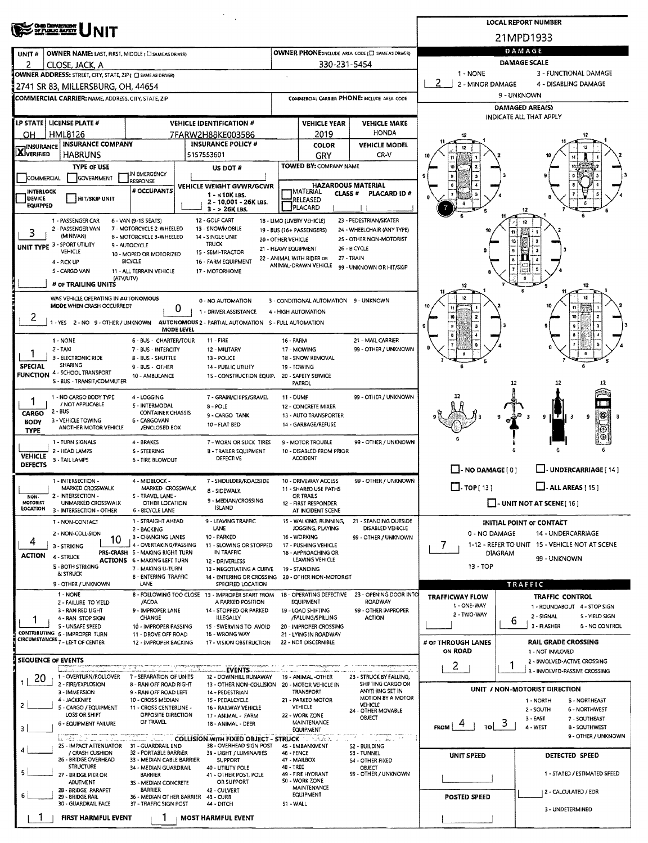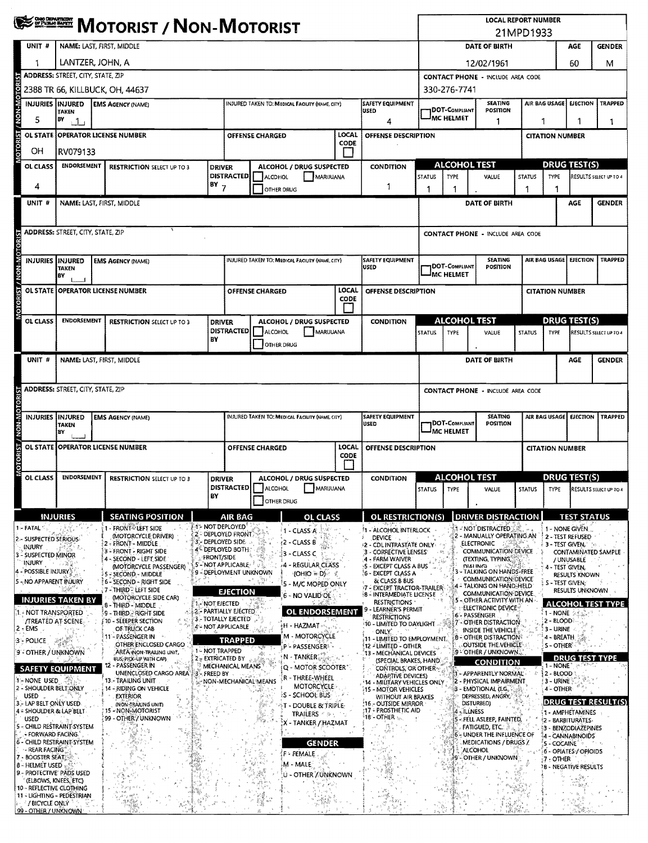|                                                           | <b>EREARE MOTORIST / NON-MOTORIST</b>                                                |                                   |                                                                          |    |                                                                              |                                                                                           |                                                     |                     | <b>LOCAL REPORT NUMBER</b><br>21MPD1933                                  |                                                                              |                                                 |                                   |                                                                   |                                             |                              |                                                     |                          |  |
|-----------------------------------------------------------|--------------------------------------------------------------------------------------|-----------------------------------|--------------------------------------------------------------------------|----|------------------------------------------------------------------------------|-------------------------------------------------------------------------------------------|-----------------------------------------------------|---------------------|--------------------------------------------------------------------------|------------------------------------------------------------------------------|-------------------------------------------------|-----------------------------------|-------------------------------------------------------------------|---------------------------------------------|------------------------------|-----------------------------------------------------|--------------------------|--|
| UNIT <sup>#</sup>                                         | NAME: LAST, FIRST, MIDDLE                                                            |                                   |                                                                          |    |                                                                              |                                                                                           |                                                     |                     |                                                                          | DATE OF BIRTH                                                                |                                                 |                                   |                                                                   |                                             | AGE                          | <b>GENDER</b>                                       |                          |  |
|                                                           | LANTZER, JOHN, A                                                                     |                                   |                                                                          |    |                                                                              |                                                                                           |                                                     |                     | 12/02/1961                                                               |                                                                              |                                                 |                                   |                                                                   | 60                                          | М                            |                                                     |                          |  |
|                                                           | <b>ADDRESS: STREET, CITY, STATE, ZIP</b>                                             |                                   |                                                                          |    |                                                                              |                                                                                           |                                                     |                     |                                                                          | <b>CONTACT PHONE - INCLUDE AREA CODE</b>                                     |                                                 |                                   |                                                                   |                                             |                              |                                                     |                          |  |
|                                                           | 2388 TR 66, KILLBUCK, OH, 44637                                                      |                                   |                                                                          |    |                                                                              |                                                                                           |                                                     |                     |                                                                          |                                                                              | 330-276-7741                                    |                                   |                                                                   |                                             |                              |                                                     |                          |  |
| MOTORIST / NON-MOTOR<br>INJURIES INJURED                  | <b>EMS AGENCY (NAME)</b><br>INJURED TAKEN TO: MEDICAL FACILITY (NAME, CITY)<br>TAKEN |                                   |                                                                          |    |                                                                              |                                                                                           | <b>SAFETY EQUIPMENT</b><br>USED                     |                     | <b>SEATING</b><br><b>IDOT-C</b> OMPLIANT<br><b>POSITION</b>              |                                                                              |                                                 |                                   | AIR BAG USAGE<br><b>EJECTION   TRAPPED</b>                        |                                             |                              |                                                     |                          |  |
| 5                                                         | BY<br>111                                                                            |                                   |                                                                          |    |                                                                              |                                                                                           |                                                     | 4                   |                                                                          | <b>MC HELMET</b><br>1                                                        |                                                 |                                   |                                                                   |                                             | 1                            |                                                     |                          |  |
| <b>OL STATE</b>                                           | LOCAL<br><b>OPERATOR LICENSE NUMBER</b><br><b>OFFENSE CHARGED</b><br><b>CODE</b>     |                                   |                                                                          |    |                                                                              |                                                                                           |                                                     | OFFENSE DESCRIPTION |                                                                          |                                                                              | <b>CITATION NUMBER</b>                          |                                   |                                                                   |                                             |                              |                                                     |                          |  |
| OH<br>OL CLASS                                            | RV079133<br><b>ENDORSEMENT</b>                                                       |                                   |                                                                          |    |                                                                              | ALCOHOL / DRUG SUSPECTED                                                                  |                                                     |                     |                                                                          |                                                                              | <b>ALCOHOL TEST</b>                             |                                   |                                                                   |                                             |                              | <b>DRUG TEST(S)</b>                                 |                          |  |
|                                                           |                                                                                      | <b>RESTRICTION SELECT UP TO 3</b> |                                                                          |    | <b>DRIVER</b><br><b>DISTRACTED</b>                                           | ALCOHOL<br>MARIJUANA                                                                      |                                                     |                     | <b>CONDITION</b>                                                         |                                                                              | <b>STATUS</b><br><b>TYPE</b>                    |                                   | VALUE                                                             | <b>STATUS</b>                               | TYPE                         |                                                     | RESULTS SELECT UP TO 4   |  |
| 4                                                         |                                                                                      |                                   |                                                                          |    | $18Y$ 7                                                                      | OTHER DRUG                                                                                |                                                     |                     | 1                                                                        |                                                                              | 1                                               |                                   |                                                                   |                                             |                              |                                                     |                          |  |
| UNIT #                                                    |                                                                                      |                                   | NAME: LAST, FIRST, MIDDLE                                                |    |                                                                              |                                                                                           |                                                     |                     |                                                                          |                                                                              |                                                 |                                   | DATE OF BIRTH                                                     |                                             |                              | AGE                                                 | <b>GENDER</b>            |  |
|                                                           | <b>ADDRESS: STREET, CITY, STATE, ZIP</b>                                             |                                   |                                                                          |    |                                                                              |                                                                                           |                                                     |                     |                                                                          |                                                                              |                                                 |                                   |                                                                   |                                             |                              |                                                     |                          |  |
| <b>MOTORIST / NON-MOTORIST</b>                            |                                                                                      |                                   |                                                                          |    |                                                                              |                                                                                           |                                                     |                     |                                                                          |                                                                              |                                                 |                                   | <b>CONTACT PHONE - INCLUDE AREA CODE</b>                          |                                             |                              |                                                     |                          |  |
| INJURIES INJURED                                          |                                                                                      |                                   | <b>EMS AGENCY (NAME)</b>                                                 |    |                                                                              |                                                                                           | INJURED TAKEN TO: MEDICAL FACILITY (NAME, CITY)     |                     | <b>SAFETY EQUIPMENT</b>                                                  |                                                                              |                                                 |                                   | <b>SEATING</b>                                                    |                                             | AIR BAG USAGE                | EJECTION                                            | <b>TRAPPED</b>           |  |
|                                                           | <b>TAKEN</b><br>۱B۷                                                                  |                                   |                                                                          |    |                                                                              |                                                                                           |                                                     |                     | lused                                                                    |                                                                              |                                                 | DOT-COMPLIANT<br><b>MC HELMET</b> | <b>POSITION</b>                                                   |                                             |                              |                                                     |                          |  |
| <b>OL STATE</b>                                           |                                                                                      |                                   | i OPERATOR LICENSE NUMBER                                                |    |                                                                              | <b>OFFENSE CHARGED</b>                                                                    |                                                     | LOCAL<br>CODE       | OFFENSE DESCRIPTION                                                      |                                                                              |                                                 |                                   |                                                                   |                                             | <b>CITATION NUMBER</b>       |                                                     |                          |  |
|                                                           |                                                                                      |                                   |                                                                          |    |                                                                              |                                                                                           |                                                     |                     |                                                                          |                                                                              |                                                 |                                   |                                                                   |                                             |                              |                                                     |                          |  |
| OL CLASS                                                  | <b>ENDORSEMENT</b>                                                                   |                                   | <b>RESTRICTION SELECT UP TO 3</b>                                        |    | ALCOHOL / DRUG SUSPECTED<br><b>DRIVER</b><br><b>DISTRACTED</b>               |                                                                                           |                                                     |                     | <b>CONDITION</b>                                                         |                                                                              |                                                 | <b>ALCOHOL TEST</b>               |                                                                   |                                             |                              | <b>DRUG TEST(S)</b>                                 |                          |  |
|                                                           |                                                                                      |                                   |                                                                          | BY |                                                                              | ALCOHOL                                                                                   | MARIJUANA<br><b>OTHER DRUG</b>                      |                     |                                                                          |                                                                              | <b>STATUS</b>                                   | TYPE                              | VALUE                                                             | <b>STATUS</b>                               | TYPE                         |                                                     | RESULTS SELECT UP TO 4   |  |
| UNIT#                                                     |                                                                                      |                                   | NAME: LAST, FIRST, MIDDLE                                                |    |                                                                              |                                                                                           |                                                     |                     |                                                                          |                                                                              |                                                 |                                   | DATE OF BIRTH                                                     |                                             |                              | AGE                                                 | <b>GENDER</b>            |  |
|                                                           |                                                                                      |                                   |                                                                          |    |                                                                              |                                                                                           |                                                     |                     |                                                                          |                                                                              |                                                 |                                   |                                                                   |                                             |                              |                                                     |                          |  |
|                                                           | <b>ADDRESS: STREET, CITY, STATE, ZIP</b>                                             |                                   |                                                                          |    |                                                                              |                                                                                           |                                                     |                     |                                                                          |                                                                              | <b>CONTACT PHONE - INCLUDE AREA CODE</b>        |                                   |                                                                   |                                             |                              |                                                     |                          |  |
|                                                           |                                                                                      |                                   |                                                                          |    |                                                                              |                                                                                           |                                                     |                     |                                                                          |                                                                              |                                                 |                                   |                                                                   |                                             |                              |                                                     |                          |  |
|                                                           | <b>INJURIES INJURED</b><br><b>EMS AGENCY (NAME)</b><br><b>TAKEN</b>                  |                                   |                                                                          |    |                                                                              | <b>SAFETY EQUIPMENT</b><br>INJURED TAKEN TO: MEDICAL FACILITY (NAME, CITY)<br><b>USED</b> |                                                     |                     |                                                                          | <b>SEATING</b><br><b>DOT-COMPLIANT</b><br>POSITION<br><sup>I</sup> MC HELMET |                                                 |                                   |                                                                   | AIR BAG USAGE<br>EJECTION<br><b>TRAPPED</b> |                              |                                                     |                          |  |
| <b>OL STATE</b>                                           | BY                                                                                   |                                   | <b>OPERATOR LICENSE NUMBER</b>                                           |    | LOCAL<br><b>OFFENSE CHARGED</b><br>OFFENSE DESCRIPTION                       |                                                                                           |                                                     |                     |                                                                          |                                                                              |                                                 |                                   |                                                                   |                                             | <b>CITATION NUMBER</b>       |                                                     |                          |  |
| MOTORIST / NON-MOTORIST                                   |                                                                                      |                                   |                                                                          |    | <b>CODE</b>                                                                  |                                                                                           |                                                     |                     |                                                                          |                                                                              |                                                 |                                   |                                                                   |                                             |                              |                                                     |                          |  |
| OL CLASS                                                  | <b>ENDORSEMENT</b>                                                                   |                                   | <b>RESTRICTION SELECT UP TO 3</b>                                        |    | ALCOHOL / DRUG SUSPECTED<br><b>DRIVER</b>                                    |                                                                                           |                                                     |                     | <b>CONDITION</b>                                                         |                                                                              | <b>ALCOHOL TEST</b>                             |                                   |                                                                   | <b>DRUG TEST(S)</b>                         |                              |                                                     |                          |  |
|                                                           |                                                                                      |                                   |                                                                          | BY | <b>DISTRACTED</b> ALCOHOL                                                    |                                                                                           | MARIJUANA<br>OTHER DRUG                             |                     |                                                                          |                                                                              | <b>STATUS</b>                                   | <b>TYPE</b>                       | VALUE                                                             | <b>STATUS</b>                               | <b>TYPE</b>                  |                                                     | RESULTS SELECT UP TO 4   |  |
|                                                           | <b>INJURIES</b>                                                                      |                                   | <b>SEATING POSITION</b>                                                  |    | AIR BAG                                                                      |                                                                                           | <b>OL CLASS</b>                                     |                     |                                                                          |                                                                              | <b>OL RESTRICTION(S)</b>                        |                                   | <b>DRIVER DISTRACTION</b>                                         |                                             |                              | <b>TEST STATUS</b>                                  |                          |  |
| 1 - FATAL                                                 |                                                                                      |                                   | - FRONT <sup>®</sup> LEFT SIDE                                           |    | 1 - NOT DEPLOYED                                                             |                                                                                           | 1 - CLASS A                                         |                     | <sup>\$</sup> 1 - Alcohol Interlock                                      |                                                                              |                                                 |                                   | <b>A - NOT DISTRACTED</b>                                         |                                             |                              | 1 - NONE GIVEN.                                     |                          |  |
| 2 - SUSPECTED SERIOUS<br>INJURY                           |                                                                                      |                                   | (MOTORCYCLE DRIVER)<br>2 - FRONT - MIDDLE                                |    | 2 - DEPLOYED FRONT<br>3 DEPLOYED SIDE<br><b>4<sup>%</sup> DEPLOYED BOTH:</b> |                                                                                           | $(2 - CLASS B)$                                     |                     | <b>DEVICE</b><br><b>2 - CDLINTRASTATE ONLY:</b>                          |                                                                              |                                                 |                                   | 2 - MANUALLY OPERATING AN<br><b>ELECTRONIC</b>                    |                                             |                              | 2 - TEST REFUSED<br>$3 - TEST$ GIVEN, $\frac{1}{2}$ |                          |  |
| 3 - SUSPECTED MINOR<br><b>INJURY</b>                      |                                                                                      |                                   | 3 - FRONT - RIGHT SIDE<br>4 - SECOND - LEFT SIDE                         |    | <b>FRONT/SIDE</b><br>5 - NOT APPLICABLE                                      |                                                                                           | 3 - CLASS C<br>4 - REGULAR CLASS                    |                     | 3 - CORRECTIVE LENSES<br>4 - FARM WAIVER                                 |                                                                              |                                                 |                                   | COMMUNICATION DEVICE<br>(TEXTING, TYPING,                         |                                             |                              | / UNUSABLE                                          | CONTAMINATED SAMPLE      |  |
| 4 - POSSIBLE INJURY.<br>5 - NO APPARENT INJURY            |                                                                                      |                                   | (MOTORCYCLE PASSENGER)<br>5 - SECOND - MIDDLE<br>6 - SECOND - RIGHT SIDE |    | 9 - DEPLOYMENT UNKNOWN                                                       |                                                                                           | (OHIO = D)√                                         |                     | <b>5 - EXCEPT CLASS A BUS</b><br>6 - EXCEPT CLASS A                      | & CLASS B BUS                                                                |                                                 |                                   | <b>DIALING</b><br>- TALKING ON HANDS-FREE<br>COMMUNICATION DEVICE |                                             | 4 - TEST GIVEN,              | RESULTS KNOWN                                       |                          |  |
|                                                           |                                                                                      |                                   | <b>7-THIRD</b> <sup>2</sup> LEFT SIDE<br>(MOTORCYCLE SIDE CAR)           |    | EJECTION                                                                     |                                                                                           | 5 - M/C MOPED ONLY<br>6 - NO VALID OL               |                     | <b>37 - EXCEPT TRACTOR-TRAILER</b><br><b>8 - INTERMEDIATE LICENSE</b>    |                                                                              |                                                 |                                   | 4 - TALKING ON HAND-HELD<br>COMMUNICATION DEVICE.                 |                                             | S - TEST GIVEN.              | RESULTS UNKNOWN                                     |                          |  |
| <b>INJURIES TAKEN BY</b><br>- NOT TRANSPORTED             |                                                                                      |                                   | 8 - THIRD - MIDDLE<br>\$9 - THIRD - RIGHT SIDE                           |    | 1. NOT EIECTED<br>2 - PARTIALLY EJECTED                                      |                                                                                           | <b>OL ENDORSEMENT</b>                               |                     |                                                                          | <b>RESTRICTIONS</b><br>LEARNER'S PERMIT                                      |                                                 |                                   | 5 - OTHER ACTIVITY WITH AN<br><b>ELECTRONIC DEVICE</b>            |                                             | $1 - \text{NONE}$ (s.f.      |                                                     | <b>ALCOHOL TEST TYPE</b> |  |
| /TREATED AT SCENE<br>2 - EMS                              |                                                                                      |                                   | : 10 - SLEEPER SECTION<br>OF TRUCK CAB                                   |    | <b>3 - TOTALLY EJECTED</b><br>4 - NOT APPLICABLE                             |                                                                                           | ;H - HAZMAT∘                                        |                     | <b>RESTRICTIONS</b><br>10 - LIMITED TO DAYLIGHT                          |                                                                              |                                                 |                                   | 6 - PASSENGER<br>7 - OTHER DISTRACTION<br>INSIDE THE VEHICLE?     |                                             | 2 - BLOOD<br>3 - URINE       |                                                     |                          |  |
| 3 - POLICE                                                |                                                                                      |                                   | 11 - PASSENGER IN<br>OTHER ENCLOSED CARGO                                |    | <b>TRAPPED</b>                                                               |                                                                                           | M - MOTORCYCLE<br>P- PASSENGER -                    |                     | ONLY.<br>11 - LIMITED TO EMPLOYMENT.<br>12 - Limited - Other             |                                                                              |                                                 |                                   | <b>B-OTHER DISTRACTION</b><br>OUTSIDE THE VEHICLE                 |                                             | 4 - BREATH<br><b>S-OTHER</b> |                                                     |                          |  |
| <b>9 - OTHER / UNKNOWN</b>                                |                                                                                      |                                   | AREA (NON-TRAILING UNIT,<br>BUS, PICK-UP WITH CAP)                       |    | 1- NOT TRAPPED<br>2: EXTRICATED BY                                           |                                                                                           | $\mathsf{N}\cdot\mathsf{TANKER}$                    |                     | 13 - MECHANICAL DEVICES                                                  | (SPECIAL BRAKES, HAND.                                                       |                                                 |                                   | <b>9 - OTHER / UNKNOWN.</b><br><b>CONDITION</b>                   |                                             |                              | <b>DRUG TEST TYPE</b>                               |                          |  |
| <b>SAFETY EQUIPMENT</b>                                   |                                                                                      |                                   | 12 - PASSENGER IN<br>UNENCLOSED CARGO AREA <sup>123</sup> - FREED BY .   |    | <b>MECHANICAL MEANS</b>                                                      |                                                                                           | Q - MOTOR SCOOTER"                                  |                     |                                                                          | CONTROLS, OR OTHER<br><b>ADARTIVE DEVICES)</b>                               |                                                 |                                   | J - APPARENTLY NORMAL -                                           |                                             | 1 - NONE<br>$2 - BLOOD$      |                                                     |                          |  |
| 1'- NONE USED<br>2 - SHOULDER BELT:ONLY<br>USED.          |                                                                                      |                                   | 13 - TRAILING UNIT<br>14 - RIDING ON VEHICLE<br><b>EXTERIOR</b>          |    | r - Three-Wheel<br>NON-MECHANICAL MEANS<br>MOTORCYCLE                        |                                                                                           |                                                     |                     | 14 - MILITARY VEHICLES ONLY<br>15 - MOTOR VEHICLES                       |                                                                              |                                                 |                                   | 2 - PHYSICAL IMPAIRMENT<br>3 - EMOTIONAL (E.G.,                   |                                             | 3 - URINE<br>4 - OTHER       |                                                     |                          |  |
| 3 - LAP BELT ONLY USED<br>4 = SHOULDER & LAP BELT         |                                                                                      |                                   | (NON-TRAILING UNIT)<br>15 - NON-MOTORIST                                 |    | ∤S - SCHOOL BUS∙<br><b>T - DOUBLE &amp; TRIPLE-</b>                          |                                                                                           |                                                     |                     | WITHOUT AIR BRAKES<br><b>16 - OUTSIDE MIRROR</b><br>:17 - PROSTHETIC AID |                                                                              | DEPRESSED, ANGRY,<br>DISTURBED)<br>4 - ILLINESS |                                   |                                                                   | DRUG TEST RESULT(S)<br>1 - AMPHETAMINES     |                              |                                                     |                          |  |
| <b>USED</b><br>5 - CHILD RESTRAINT SYSTEM                 |                                                                                      |                                   | 99 - OTHER / UNKNOWN                                                     |    |                                                                              | 蒂                                                                                         | <b>TRAILERS <i>Party</i></b><br>X - TANKER / HAZMAT |                     | $^4$ 18 - OTHER $_\odot$                                                 |                                                                              |                                                 |                                   | 5 - FELL ASLEEP, FAINTED,<br><b>FATIGUED, ETC.</b>                |                                             |                              | 2 - BARBITURÁTES<br>3 - BENZODIAZEPINES             |                          |  |
| - FORWARD FACING.<br>6 - CHILD RESTRAINT SYSTEM           |                                                                                      |                                   |                                                                          |    |                                                                              | N                                                                                         | <b>GENDER</b>                                       |                     |                                                                          |                                                                              |                                                 |                                   | 6 - UNDER THE INFLUENCE OF<br>MEDICATIONS / DRUGS /               |                                             | 5 - COCAINE                  | 4 - CANNABINOIDS                                    |                          |  |
| - REAR FACING"<br>7 - BOOSTER SEAT                        |                                                                                      |                                   |                                                                          |    |                                                                              |                                                                                           | F - FEMALE                                          |                     |                                                                          |                                                                              |                                                 | 19.                               | <b>ALCOHOL</b><br>- OTHER / UNKNOWN                               |                                             | 7 - OTHER                    | 6 - OPIATES / OPIOIDS                               |                          |  |
| <b>8 - HELMET USED</b><br>9 - PROTECTIVE' PADS USED       |                                                                                      |                                   |                                                                          |    |                                                                              |                                                                                           | M - MALE:<br>U - OTHER ZUNKNOWN                     |                     |                                                                          |                                                                              |                                                 |                                   |                                                                   |                                             |                              | '8 - NEGATIVE RESULTS                               |                          |  |
| (ELBOWS, KNEES, ETC)<br>10 - REFLECTIVE CLOTHING          |                                                                                      |                                   |                                                                          |    |                                                                              |                                                                                           |                                                     |                     |                                                                          |                                                                              |                                                 |                                   |                                                                   |                                             |                              |                                                     |                          |  |
| 11 - LIGHTING - PEDESTRIAN<br><sup>2</sup> / BICYCLE ONLY |                                                                                      |                                   | 念明か                                                                      |    |                                                                              |                                                                                           |                                                     |                     |                                                                          |                                                                              |                                                 |                                   |                                                                   |                                             |                              |                                                     |                          |  |
| 99 - OTHER / UNKNOWN                                      |                                                                                      |                                   |                                                                          |    |                                                                              |                                                                                           |                                                     |                     |                                                                          |                                                                              |                                                 |                                   | ida Pa                                                            |                                             |                              |                                                     |                          |  |